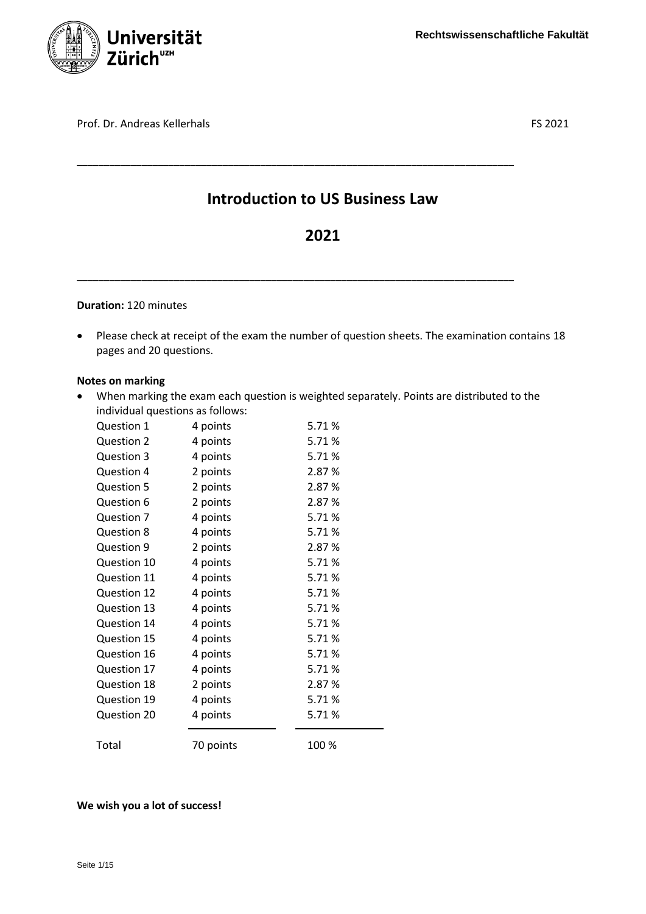

Prof. Dr. Andreas Kellerhals FS 2021

# **Introduction to US Business Law**

\_\_\_\_\_\_\_\_\_\_\_\_\_\_\_\_\_\_\_\_\_\_\_\_\_\_\_\_\_\_\_\_\_\_\_\_\_\_\_\_\_\_\_\_\_\_\_\_\_\_\_\_\_\_\_\_\_\_\_\_\_\_\_\_\_\_\_\_\_\_\_\_\_\_\_\_\_\_\_\_\_

\_\_\_\_\_\_\_\_\_\_\_\_\_\_\_\_\_\_\_\_\_\_\_\_\_\_\_\_\_\_\_\_\_\_\_\_\_\_\_\_\_\_\_\_\_\_\_\_\_\_\_\_\_\_\_\_\_\_\_\_\_\_\_\_\_\_\_\_\_\_\_\_\_\_\_\_\_\_\_\_\_

# **2021**

# **Duration:** 120 minutes

 Please check at receipt of the exam the number of question sheets. The examination contains 18 pages and 20 questions.

#### **Notes on marking**

 When marking the exam each question is weighted separately. Points are distributed to the individual questions as follows:

| Question 1        | 4 points  | 5.71%  |
|-------------------|-----------|--------|
| Question 2        | 4 points  | 5.71%  |
| <b>Question 3</b> | 4 points  | 5.71%  |
| Question 4        | 2 points  | 2.87%  |
| <b>Question 5</b> | 2 points  | 2.87%  |
| Question 6        | 2 points  | 2.87%  |
| Question 7        | 4 points  | 5.71%  |
| Question 8        | 4 points  | 5.71%  |
| Question 9        | 2 points  | 2.87%  |
| Question 10       | 4 points  | 5.71%  |
| Question 11       | 4 points  | 5.71%  |
| Question 12       | 4 points  | 5.71%  |
| Question 13       | 4 points  | 5.71%  |
| Question 14       | 4 points  | 5.71%  |
| Question 15       | 4 points  | 5.71%  |
| Question 16       | 4 points  | 5.71%  |
| Question 17       | 4 points  | 5.71%  |
| Question 18       | 2 points  | 2.87 % |
| Question 19       | 4 points  | 5.71%  |
| Question 20       | 4 points  | 5.71%  |
| Total             | 70 points | 100 %  |

# **We wish you a lot of success!**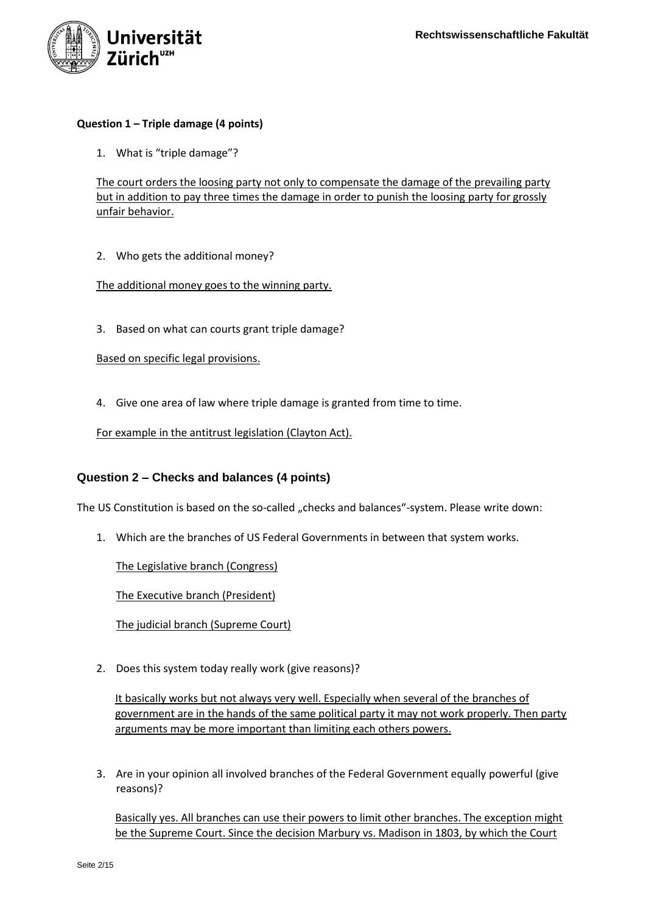

## **Question 1 – Triple damage (4 points)**

1. What is "triple damage"?

The court orders the loosing party not only to compensate the damage of the prevailing party but in addition to pay three times the damage in order to punish the loosing party for grossly unfair behavior.

2. Who gets the additional money?

#### The additional money goes to the winning party.

3. Based on what can courts grant triple damage?

Based on specific legal provisions.

4. Give one area of law where triple damage is granted from time to time.

For example in the antitrust legislation (Clayton Act).

# **Question 2 – Checks and balances (4 points)**

The US Constitution is based on the so-called "checks and balances"-system. Please write down:

1. Which are the branches of US Federal Governments in between that system works.

The Legislative branch (Congress)

The Executive branch (President)

The judicial branch (Supreme Court)

2. Does this system today really work (give reasons)?

It basically works but not always very well. Especially when several of the branches of government are in the hands of the same political party it may not work properly. Then party arguments may be more important than limiting each others powers.

3. Are in your opinion all involved branches of the Federal Government equally powerful (give reasons)?

Basically yes. All branches can use their powers to limit other branches. The exception might be the Supreme Court. Since the decision Marbury vs. Madison in 1803, by which the Court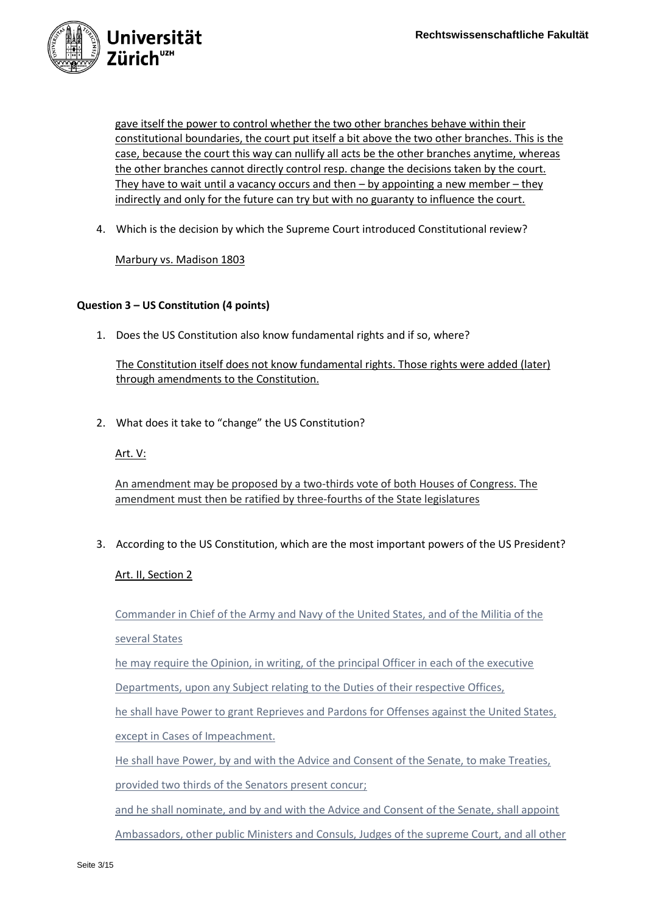

gave itself the power to control whether the two other branches behave within their constitutional boundaries, the court put itself a bit above the two other branches. This is the case, because the court this way can nullify all acts be the other branches anytime, whereas the other branches cannot directly control resp. change the decisions taken by the court. They have to wait until a vacancy occurs and then – by appointing a new member – they indirectly and only for the future can try but with no guaranty to influence the court.

4. Which is the decision by which the Supreme Court introduced Constitutional review?

Marbury vs. Madison 1803

# **Question 3 – US Constitution (4 points)**

1. Does the US Constitution also know fundamental rights and if so, where?

The Constitution itself does not know fundamental rights. Those rights were added (later) through amendments to the Constitution.

2. What does it take to "change" the US Constitution?

Art. V:

An amendment may be proposed by a two-thirds vote of both Houses of Congress. The amendment must then be ratified by three-fourths of the State legislatures

3. According to the US Constitution, which are the most important powers of the US President?

Art. II, Section 2

Commander in Chief of the Army and Navy of the United States, and of the Militia of the several States

he may require the Opinion, in writing, of the principal Officer in each of the executive

Departments, upon any Subject relating to the Duties of their respective Offices,

he shall have Power to grant Reprieves and Pardons for Offenses against the United States, except in Cases of Impeachment.

He shall have Power, by and with the Advice and Consent of the Senate, to make Treaties,

provided two thirds of the Senators present concur;

and he shall nominate, and by and with the Advice and Consent of the Senate, shall appoint

Ambassadors, other public Ministers and Consuls, Judges of the supreme Court, and all other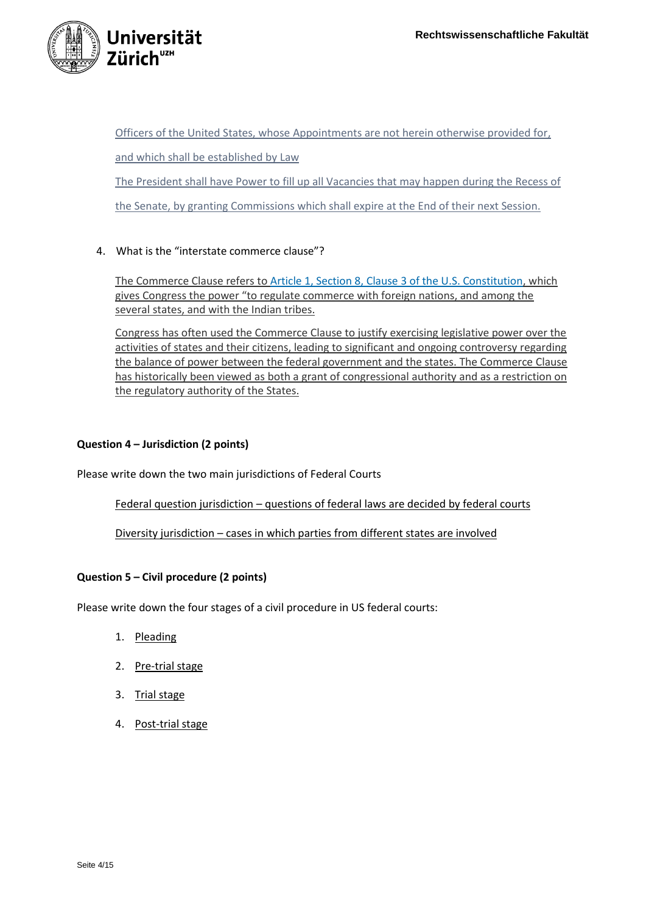

Officers of the United States, whose Appointments are not herein otherwise provided for, and which shall be established by Law The President shall have Power to fill up all Vacancies that may happen during the Recess of the Senate, by granting Commissions which shall expire at the End of their next Session.

# 4. What is the "interstate commerce clause"?

The Commerce Clause refers to [Article 1, Section 8, Clause 3 of the U.S. Constitution,](https://www.law.cornell.edu/constitution/articlei#section8) which gives Congress the power "to regulate commerce with foreign nations, and among the several states, and with the Indian tribes.

Congress has often used the Commerce Clause to justify exercising legislative power over the activities of states and their citizens, leading to significant and ongoing controversy regarding the balance of power between the federal government and the states. The Commerce Clause has historically been viewed as both a grant of congressional authority and as a restriction on the regulatory authority of the States.

# **Question 4 – Jurisdiction (2 points)**

Please write down the two main jurisdictions of Federal Courts

Federal question jurisdiction – questions of federal laws are decided by federal courts

Diversity jurisdiction – cases in which parties from different states are involved

# **Question 5 – Civil procedure (2 points)**

Please write down the four stages of a civil procedure in US federal courts:

- 1. Pleading
- 2. Pre-trial stage
- 3. Trial stage
- 4. Post-trial stage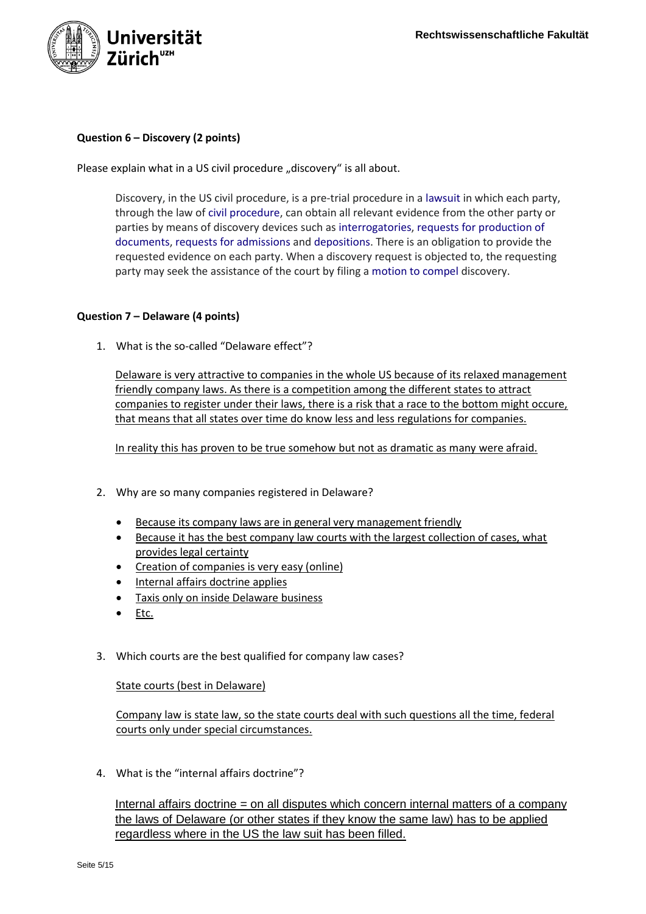

# **Question 6 – Discovery (2 points)**

Please explain what in a US civil procedure "discovery" is all about.

Discovery, in the US civil procedure, is a pre-trial procedure in a [lawsuit](https://en.wikipedia.org/wiki/Lawsuit) in which each party, through the law of [civil procedure,](https://en.wikipedia.org/wiki/Civil_procedure) can obtain all relevant evidence from the other party or parties by means of discovery devices such as [interrogatories,](https://en.wikipedia.org/wiki/Interrogatories) [requests for production of](https://en.wikipedia.org/wiki/Request_for_production)  [documents,](https://en.wikipedia.org/wiki/Request_for_production) [requests for admissions](https://en.wikipedia.org/wiki/Request_for_admissions) and [depositions.](https://en.wikipedia.org/wiki/Deposition_(law)) There is an obligation to provide the requested evidence on each party. When a discovery request is objected to, the requesting party may seek the assistance of the court by filing a [motion to compel](https://en.wikipedia.org/wiki/Motion_to_compel) discovery.

# **Question 7 – Delaware (4 points)**

1. What is the so-called "Delaware effect"?

Delaware is very attractive to companies in the whole US because of its relaxed management friendly company laws. As there is a competition among the different states to attract companies to register under their laws, there is a risk that a race to the bottom might occure, that means that all states over time do know less and less regulations for companies.

In reality this has proven to be true somehow but not as dramatic as many were afraid.

- 2. Why are so many companies registered in Delaware?
	- Because its company laws are in general very management friendly
	- Because it has the best company law courts with the largest collection of cases, what provides legal certainty
	- Creation of companies is very easy (online)
	- Internal affairs doctrine applies
	- Taxis only on inside Delaware business
	- $\bullet$  Etc.
- 3. Which courts are the best qualified for company law cases?

State courts (best in Delaware)

Company law is state law, so the state courts deal with such questions all the time, federal courts only under special circumstances.

4. What is the "internal affairs doctrine"?

Internal affairs doctrine = on all disputes which concern internal matters of a company the laws of Delaware (or other states if they know the same law) has to be applied regardless where in the US the law suit has been filled.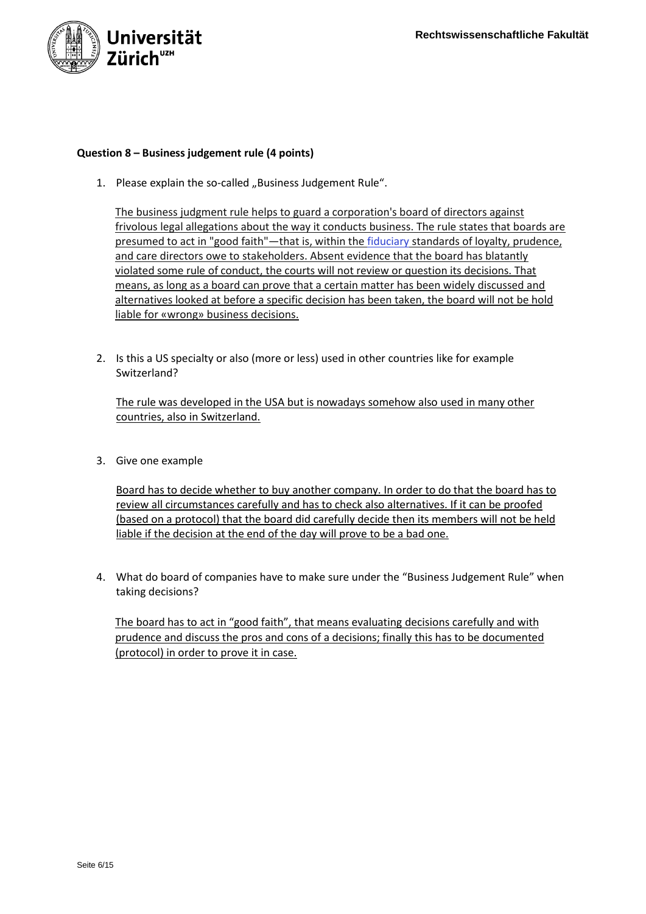

## **Question 8 – Business judgement rule (4 points)**

1. Please explain the so-called "Business Judgement Rule".

The business judgment rule helps to guard a corporation's board of directors against frivolous legal allegations about the way it conducts business. The rule states that boards are presumed to act in "good faith"—that is, within the [fiduciary](https://www.investopedia.com/terms/f/fiduciary.asp) standards of loyalty, prudence, and care directors owe to stakeholders. Absent evidence that the board has blatantly violated some rule of conduct, the courts will not review or question its decisions. That means, as long as a board can prove that a certain matter has been widely discussed and alternatives looked at before a specific decision has been taken, the board will not be hold liable for «wrong» business decisions.

2. Is this a US specialty or also (more or less) used in other countries like for example Switzerland?

The rule was developed in the USA but is nowadays somehow also used in many other countries, also in Switzerland.

3. Give one example

Board has to decide whether to buy another company. In order to do that the board has to review all circumstances carefully and has to check also alternatives. If it can be proofed (based on a protocol) that the board did carefully decide then its members will not be held liable if the decision at the end of the day will prove to be a bad one.

4. What do board of companies have to make sure under the "Business Judgement Rule" when taking decisions?

The board has to act in "good faith", that means evaluating decisions carefully and with prudence and discuss the pros and cons of a decisions; finally this has to be documented (protocol) in order to prove it in case.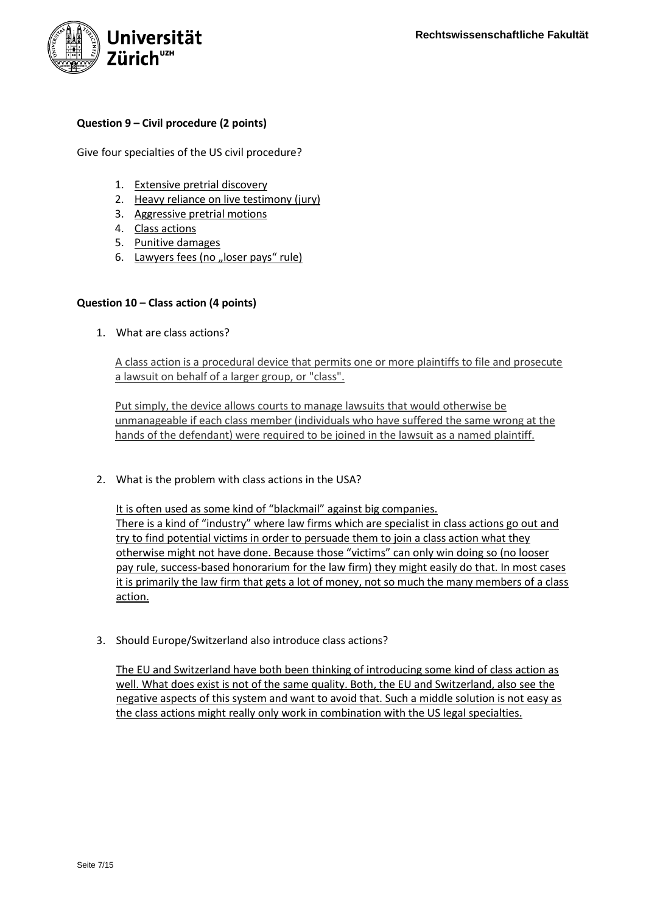

# **Question 9 – Civil procedure (2 points)**

Give four specialties of the US civil procedure?

- 1. Extensive pretrial discovery
- 2. Heavy reliance on live testimony (jury)
- 3. Aggressive pretrial motions
- 4. Class actions
- 5. Punitive damages
- 6. Lawyers fees (no "loser pays" rule)

# **Question 10 – Class action (4 points)**

1. What are class actions?

A class action is a procedural device that permits one or more plaintiffs to file and prosecute a lawsuit on behalf of a larger group, or "class".

Put simply, the device allows courts to manage lawsuits that would otherwise be unmanageable if each class member (individuals who have suffered the same wrong at the hands of the defendant) were required to be joined in the lawsuit as a named plaintiff.

2. What is the problem with class actions in the USA?

It is often used as some kind of "blackmail" against big companies. There is a kind of "industry" where law firms which are specialist in class actions go out and try to find potential victims in order to persuade them to join a class action what they otherwise might not have done. Because those "victims" can only win doing so (no looser pay rule, success-based honorarium for the law firm) they might easily do that. In most cases it is primarily the law firm that gets a lot of money, not so much the many members of a class action.

3. Should Europe/Switzerland also introduce class actions?

The EU and Switzerland have both been thinking of introducing some kind of class action as well. What does exist is not of the same quality. Both, the EU and Switzerland, also see the negative aspects of this system and want to avoid that. Such a middle solution is not easy as the class actions might really only work in combination with the US legal specialties.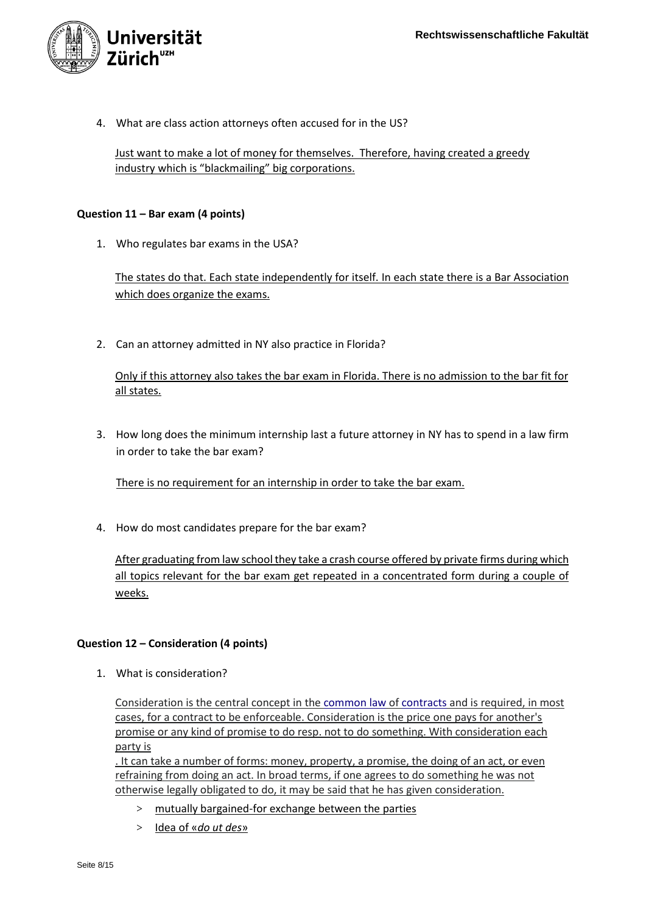

4. What are class action attorneys often accused for in the US?

Just want to make a lot of money for themselves. Therefore, having created a greedy industry which is "blackmailing" big corporations.

# **Question 11 – Bar exam (4 points)**

1. Who regulates bar exams in the USA?

The states do that. Each state independently for itself. In each state there is a Bar Association which does organize the exams.

2. Can an attorney admitted in NY also practice in Florida?

Only if this attorney also takes the bar exam in Florida. There is no admission to the bar fit for all states.

3. How long does the minimum internship last a future attorney in NY has to spend in a law firm in order to take the bar exam?

There is no requirement for an internship in order to take the bar exam.

4. How do most candidates prepare for the bar exam?

After graduating from law school they take a crash course offered by private firms during which all topics relevant for the bar exam get repeated in a concentrated form during a couple of weeks.

# **Question 12 – Consideration (4 points)**

1. What is consideration?

Consideration is the central concept in the [common law](https://en.wikipedia.org/wiki/Common_law) of [contracts](https://en.wikipedia.org/wiki/Contract) and is required, in most cases, for a contract to be enforceable. Consideration is the price one pays for another's promise or any kind of promise to do resp. not to do something. With consideration each party is

. It can take a number of forms: money, property, a promise, the doing of an act, or even refraining from doing an act. In broad terms, if one agrees to do something he was not otherwise legally obligated to do, it may be said that he has given consideration.

- > mutually bargained-for exchange between the parties
- > Idea of «*do ut des*»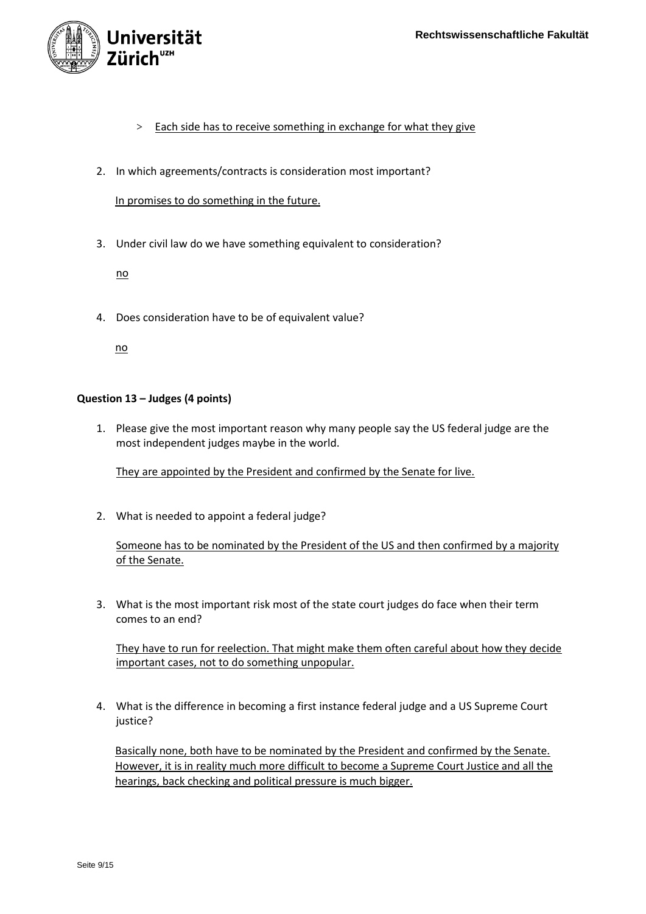

- > Each side has to receive something in exchange for what they give
- 2. In which agreements/contracts is consideration most important?

In promises to do something in the future.

3. Under civil law do we have something equivalent to consideration?

no

4. Does consideration have to be of equivalent value?

no

# **Question 13 – Judges (4 points)**

1. Please give the most important reason why many people say the US federal judge are the most independent judges maybe in the world.

They are appointed by the President and confirmed by the Senate for live.

2. What is needed to appoint a federal judge?

Someone has to be nominated by the President of the US and then confirmed by a majority of the Senate.

3. What is the most important risk most of the state court judges do face when their term comes to an end?

They have to run for reelection. That might make them often careful about how they decide important cases, not to do something unpopular.

4. What is the difference in becoming a first instance federal judge and a US Supreme Court justice?

Basically none, both have to be nominated by the President and confirmed by the Senate. However, it is in reality much more difficult to become a Supreme Court Justice and all the hearings, back checking and political pressure is much bigger.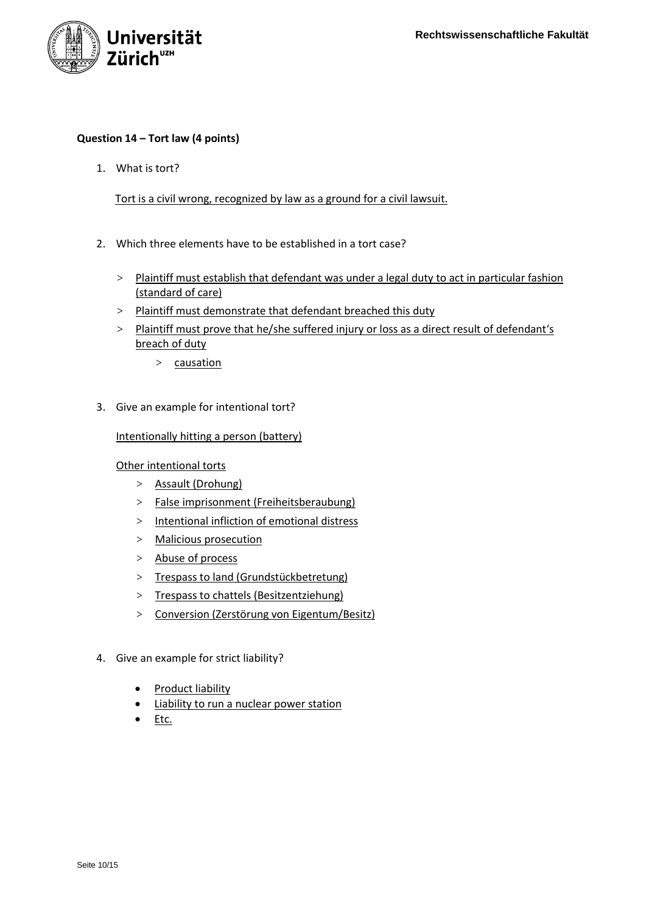

# **Question 14 – Tort law (4 points)**

1. What is tort?

Tort is a civil wrong, recognized by law as a ground for a civil lawsuit.

- 2. Which three elements have to be established in a tort case?
	- > Plaintiff must establish that defendant was under a legal duty to act in particular fashion (standard of care)
	- > Plaintiff must demonstrate that defendant breached this duty
	- > Plaintiff must prove that he/she suffered injury or loss as a direct result of defendant's breach of duty
		- > causation
- 3. Give an example for intentional tort?

Intentionally hitting a person (battery)

Other intentional torts

- > Assault (Drohung)
- > False imprisonment (Freiheitsberaubung)
- > Intentional infliction of emotional distress
- > Malicious prosecution
- > Abuse of process
- > Trespass to land (Grundstückbetretung)
- > Trespass to chattels (Besitzentziehung)
- > Conversion (Zerstörung von Eigentum/Besitz)
- 4. Give an example for strict liability?
	- Product liability
	- Liability to run a nuclear power station
	- Etc.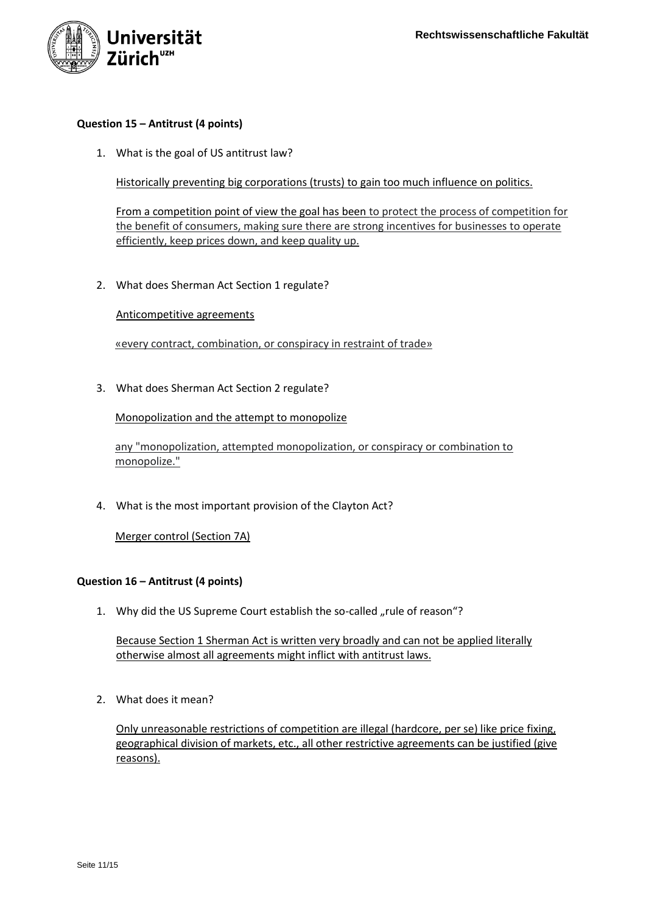

## **Question 15 – Antitrust (4 points)**

1. What is the goal of US antitrust law?

Historically preventing big corporations (trusts) to gain too much influence on politics.

From a competition point of view the goal has been to protect the process of competition for the benefit of consumers, making sure there are strong incentives for businesses to operate efficiently, keep prices down, and keep quality up.

2. What does Sherman Act Section 1 regulate?

#### Anticompetitive agreements

«every contract, combination, or conspiracy in restraint of trade»

3. What does Sherman Act Section 2 regulate?

Monopolization and the attempt to monopolize

any "monopolization, attempted monopolization, or conspiracy or combination to monopolize."

4. What is the most important provision of the Clayton Act?

Merger control (Section 7A)

## **Question 16 – Antitrust (4 points)**

1. Why did the US Supreme Court establish the so-called "rule of reason"?

Because Section 1 Sherman Act is written very broadly and can not be applied literally otherwise almost all agreements might inflict with antitrust laws.

2. What does it mean?

Only unreasonable restrictions of competition are illegal (hardcore, per se) like price fixing, geographical division of markets, etc., all other restrictive agreements can be justified (give reasons).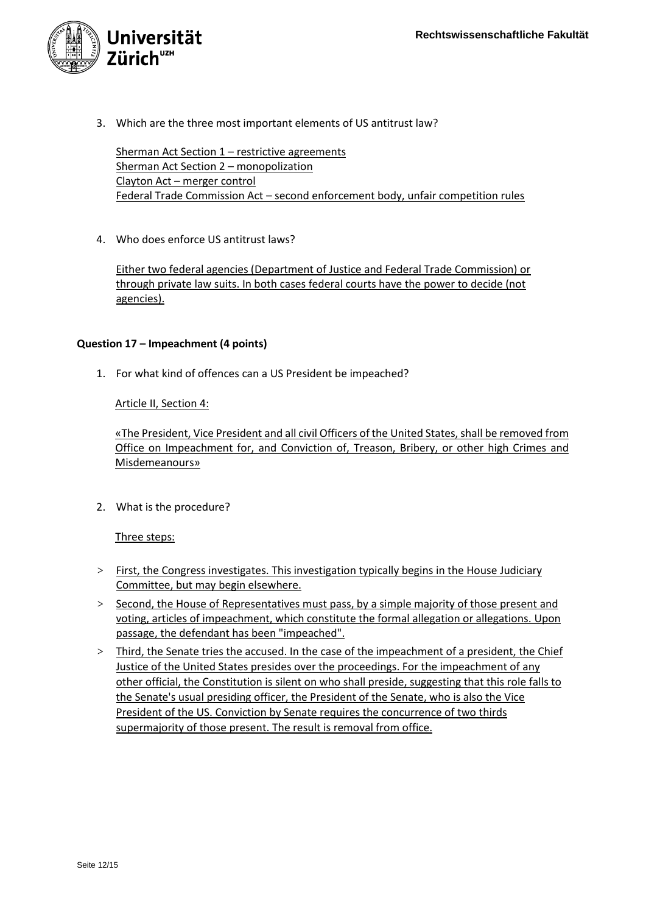

3. Which are the three most important elements of US antitrust law?

Sherman Act Section 1 - restrictive agreements Sherman Act Section 2 – monopolization Clayton Act – merger control Federal Trade Commission Act – second enforcement body, unfair competition rules

4. Who does enforce US antitrust laws?

Either two federal agencies (Department of Justice and Federal Trade Commission) or through private law suits. In both cases federal courts have the power to decide (not agencies).

# **Question 17 – Impeachment (4 points)**

1. For what kind of offences can a US President be impeached?

Article II, Section 4:

«The President, Vice President and all civil Officers of the United States, shall be removed from Office on Impeachment for, and Conviction of, Treason, Bribery, or other high Crimes and Misdemeanours»

2. What is the procedure?

Three steps:

- > First, the Congress investigates. This investigation typically begins in the House Judiciary Committee, but may begin elsewhere.
- > Second, the House of Representatives must pass, by a simple majority of those present and voting, articles of impeachment, which constitute the formal allegation or allegations. Upon passage, the defendant has been "impeached".
- > Third, the Senate tries the accused. In the case of the impeachment of a president, the Chief Justice of the United States presides over the proceedings. For the impeachment of any other official, the Constitution is silent on who shall preside, suggesting that this role falls to the Senate's usual presiding officer, the President of the Senate, who is also the Vice President of the US. Conviction by Senate requires the concurrence of two thirds supermajority of those present. The result is removal from office.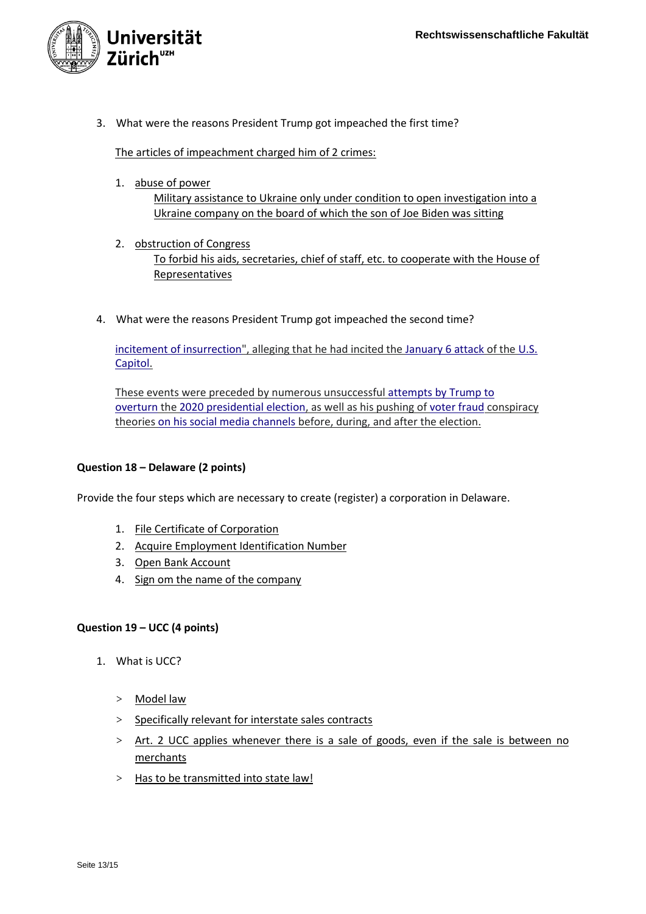

3. What were the reasons President Trump got impeached the first time?

The articles of impeachment charged him of 2 crimes:

1. abuse of power

Military assistance to Ukraine only under condition to open investigation into a Ukraine company on the board of which the son of Joe Biden was sitting

- 2. obstruction of Congress To forbid his aids, secretaries, chief of staff, etc. to cooperate with the House of Representatives
- 4. What were the reasons President Trump got impeached the second time?

[incitement of insurrection"](https://en.wikipedia.org/wiki/Incitement_of_insurrection), alleging that he had incited the January [6 attack](https://en.wikipedia.org/wiki/2021_United_States_Capitol_attack) of the U.S. [Capitol.](https://en.wikipedia.org/wiki/U.S._Capitol)

These events were preceded by numerous unsuccessful [attempts by Trump to](https://en.wikipedia.org/wiki/Attempts_to_overturn_the_2020_United_States_presidential_election)  [overturn](https://en.wikipedia.org/wiki/Attempts_to_overturn_the_2020_United_States_presidential_election) the [2020 presidential election,](https://en.wikipedia.org/wiki/2020_United_States_presidential_election) as well as his pushing of [voter fraud](https://en.wikipedia.org/wiki/Voter_fraud) conspiracy theories [on his social media channels](https://en.wikipedia.org/wiki/Social_media_use_by_Donald_Trump) before, during, and after the election.

# **Question 18 – Delaware (2 points)**

Provide the four steps which are necessary to create (register) a corporation in Delaware.

- 1. File Certificate of Corporation
- 2. Acquire Employment Identification Number
- 3. Open Bank Account
- 4. Sign om the name of the company

# **Question 19 – UCC (4 points)**

- 1. What is UCC?
	- > Model law
	- > Specifically relevant for interstate sales contracts
	- > Art. 2 UCC applies whenever there is a sale of goods, even if the sale is between no merchants
	- > Has to be transmitted into state law!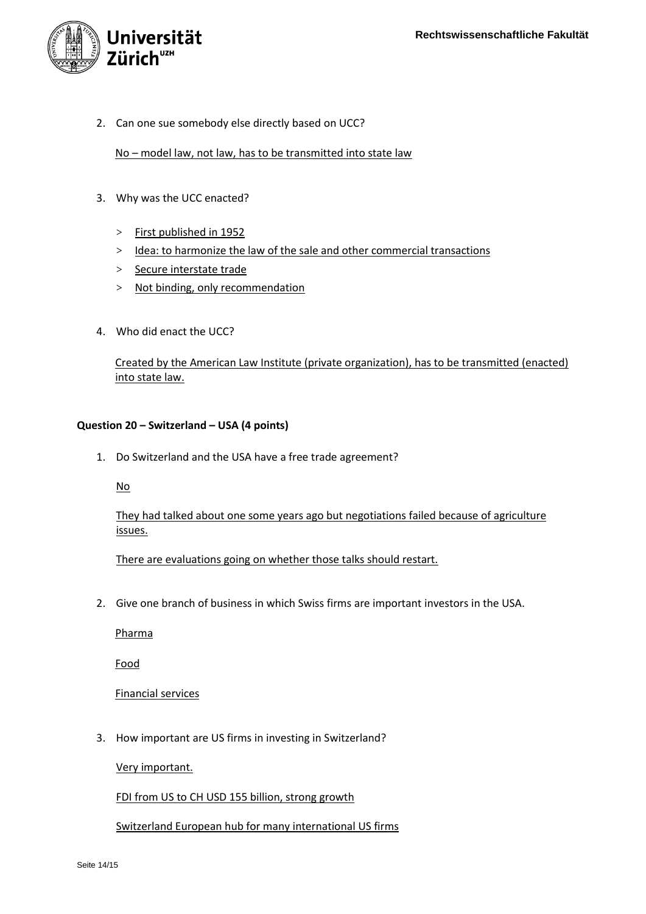

2. Can one sue somebody else directly based on UCC?

# No - model law, not law, has to be transmitted into state law

- 3. Why was the UCC enacted?
	- > First published in 1952
	- > Idea: to harmonize the law of the sale and other commercial transactions
	- > Secure interstate trade
	- > Not binding, only recommendation
- 4. Who did enact the UCC?

Created by the American Law Institute (private organization), has to be transmitted (enacted) into state law.

# **Question 20 – Switzerland – USA (4 points)**

1. Do Switzerland and the USA have a free trade agreement?

No

They had talked about one some years ago but negotiations failed because of agriculture issues.

There are evaluations going on whether those talks should restart.

2. Give one branch of business in which Swiss firms are important investors in the USA.

Pharma

Food

Financial services

3. How important are US firms in investing in Switzerland?

Very important.

FDI from US to CH USD 155 billion, strong growth

Switzerland European hub for many international US firms